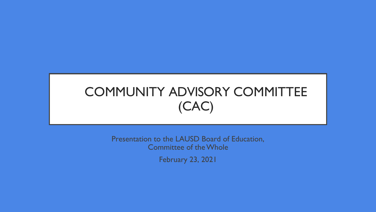# COMMUNITY ADVISORY COMMITTEE (CAC)

Presentation to the LAUSD Board of Education, Committee of theWhole

February 23, 2021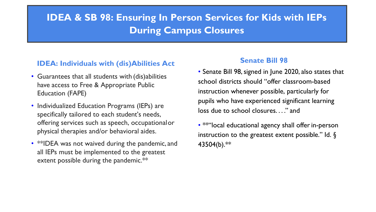## **IDEA & SB 98: Ensuring In Person Services for Kids with IEPs During Campus Closures**

#### **IDEA: Individuals with (dis)Abilities Act**

- Guarantees that all students with (dis)abilities have access to Free & Appropriate Public Education (FAPE)
- Individualized Education Programs (IEPs) are specifically tailored to each student's needs, offering services such as speech, occupationalor physical therapies and/or behavioral aides.
- \*\*IDEA was not waived during the pandemic, and all IEPs must be implemented to the greatest extent possible during the pandemic.\*\*

#### **Senate Bill 98**

- Senate Bill 98,signed in June 2020, also states that school districts should "offer classroom-based instruction whenever possible, particularly for pupils who have experienced significant learning loss due to school closures. . . ." and
- \*\*"local educational agency shall offer in-person instruction to the greatest extent possible." Id.  $\S$ 43504(b).\*\*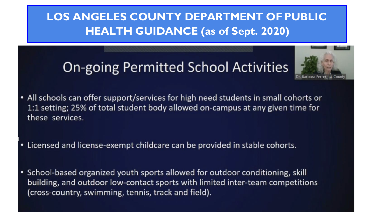## **LOS ANGELES COUNTY DEPARTMENT OFPUBLIC HEALTH GUIDANCE (as of Sept. 2020)**

# **On-going Permitted School Activities**



- All schools can offer support/services for high need students in small cohorts or 1:1 setting; 25% of total student body allowed on-campus at any given time for these services.
- Licensed and license-exempt childcare can be provided in stable cohorts.
- School-based organized youth sports allowed for outdoor conditioning, skill ٠ building, and outdoor low-contact sports with limited inter-team competitions (cross-country, swimming, tennis, track and field).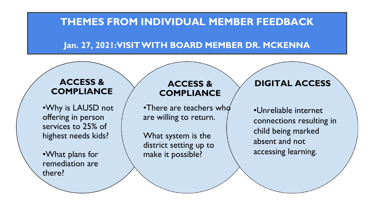#### **Jan. 27, 2021:VISITWITH BOARD MEMBER DR. MCKENNA**

#### **ACCESS & COMPLIANCE**

•Why is LAUSD not offering in person services to 25% of highest needs kids?

•What plans for remediation are there?

#### **ACCESS & COMPLIANCE**

•There are teachers who are willing to return.

What system is the district setting up to make it possible?

#### **DIGITAL ACCESS**

•Unreliable internet connections resulting in child being marked absent and not accessing learning.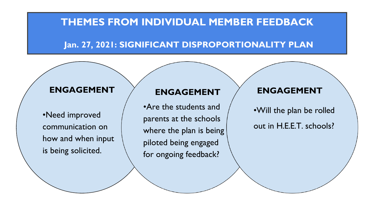#### **Jan. 27, 2021: SIGNIFICANT DISPROPORTIONALITY PLAN**

### **ENGAGEMENT**

•Need improved communication on how and when input is being solicited.

#### **ENGAGEMENT**

•Are the students and parents at the schools where the plan is being piloted being engaged for ongoing feedback?

#### **ENGAGEMENT**

•Will the plan be rolled out in H.E.E.T. schools?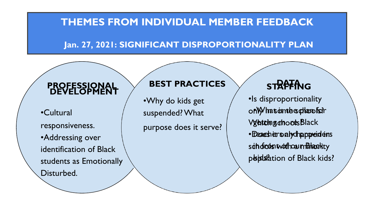### **Jan. 27, 2021: SIGNIFICANT DISPROPORTIONALITY PLAN**

#### **DEVELOPMEN PROFESSIONAL DEVELOPMENT**

•Cultural suspended? What responsiveness. •Addressing over identification of Black students as Emotionally Disturbed.

#### **BEST PRACTICES**

•Why do kids get

purpose does it serve?

## **STRAFFING**

•Is disproportionality **besphlanofsoir VgatchngatoodsBlack** 

•Deaesh eir salydh appreideins sah of bod sntwoithoau m<del>Biloac</del>htty p bidslation of Black kids?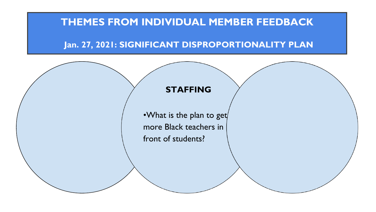#### **Jan. 27, 2021: SIGNIFICANT DISPROPORTIONALITY PLAN**



•What is the plan to get more Black teachers in front of students?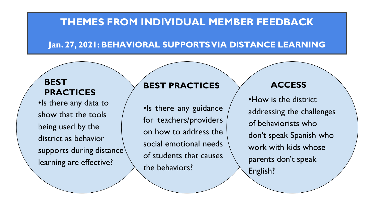### **Jan. 27, 2021: BEHAVIORAL SUPPORTSVIA DISTANCE LEARNING**

#### **BEST PRACTICES**

•Is there any data to show that the tools being used by the district as behavior supports during distance<sup>\</sup> learning are effective?

#### **BEST PRACTICES**

•Is there any guidance for teachers/providers on how to address the social emotional needs of students that causes the behaviors?

#### **ACCESS**

•How is the district addressing the challenges of behaviorists who don't speak Spanish who work with kids whose parents don't speak English?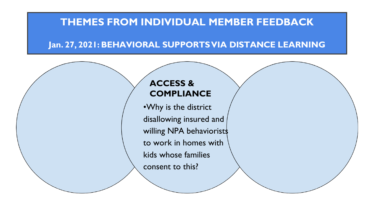### **Jan. 27, 2021: BEHAVIORAL SUPPORTSVIA DISTANCE LEARNING**

### **ACCESS & COMPLIANCE**

•Why is the district disallowing insured and willing NPA behaviorists to work in homes with kids whose families consent to this?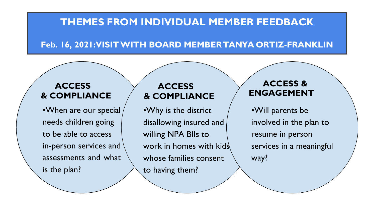#### **Feb. 16, 2021:VISITWITH BOARD MEMBERTANYA ORTIZ-FRANKLIN**

#### **ACCESS & COMPLIANCE**

•When are our special needs children going to be able to access in-person services and assessments and what is the plan?

#### **ACCESS & COMPLIANCE**

•Why is the district disallowing insured and willing NPA BIIs to work in homes with kids whose families consent to having them?

#### **ACCESS & ENGAGEMENT**

•Will parents be involved in the plan to resume in person services in a meaningful way?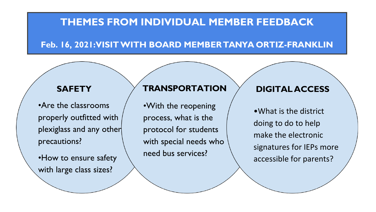#### **Feb. 16, 2021:VISITWITH BOARD MEMBERTANYA ORTIZ-FRANKLIN**

•Are the classrooms properly outfitted with plexiglass and any other precautions?

•How to ensure safety with large class sizes?

#### **SAFETY TRANSPORTATION DIGITALACCESS**

•With the reopening process, what is the protocol for students with special needs who need bus services?

•What is the district doing to do to help make the electronic signatures for IEPs more accessible for parents?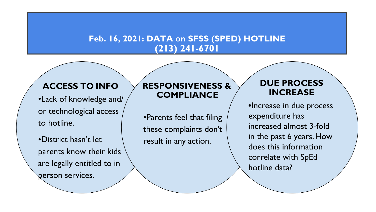#### **Feb. 16, 2021: DATA on SFSS (SPED) HOTLINE (213) 241-6701**

## **ACCESS TO INFO**

•Lack of knowledge and/ or technological access to hotline.

•District hasn't let parents know their kids are legally entitled to in person services.

#### **RESPONSIVENESS & COMPLIANCE**

•Parents feel that filing these complaints don't result in any action.

#### **DUE PROCESS INCREASE**

**•**Increase in due process expenditure has increased almost 3-fold in the past 6 years.How does this information correlate with SpEd hotline data?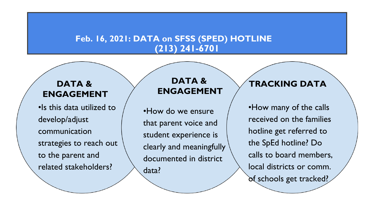#### **Feb. 16, 2021: DATA on SFSS (SPED) HOTLINE (213) 241-6701**

### **DATA & ENGAGEMENT**

•Is this data utilized to develop/adjust communication strategies to reach out to the parent and related stakeholders?

#### **DATA & ENGAGEMENT**

•How do we ensure that parent voice and student experience is clearly and meaningfully documented in district data?

#### **TRACKING DATA**

•How many of the calls received on the families hotline get referred to the SpEd hotline? Do calls to board members, local districts or comm. of schools get tracked?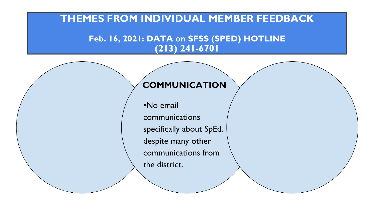#### **Feb. 16, 2021: DATA on SFSS (SPED) HOTLINE (213) 241-6701**

#### **COMMUNICATION**

•No email communications specifically about SpEd, despite many other communications from the district.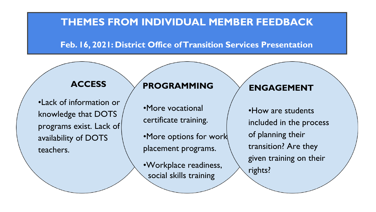#### **Feb. 16, 2021: District Office ofTransition Services Presentation**

•Lack of information or knowledge that DOTS programs exist. Lack of availability of DOTS teachers.

## **ACCESS PROGRAMMING ENGAGEMENT**

•More vocational certificate training.

•More options for work placement programs.

•Workplace readiness, social skills training

•How are students included in the process of planning their transition? Are they given training on their rights?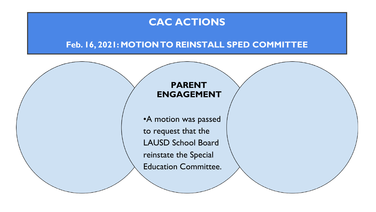## **CAC ACTIONS**

#### **Feb. 16, 2021: MOTIONTO REINSTALL SPED COMMITTEE**

#### **PARENT ENGAGEMENT**

•A motion was passed to request that the LAUSD School Board reinstate the Special Education Committee.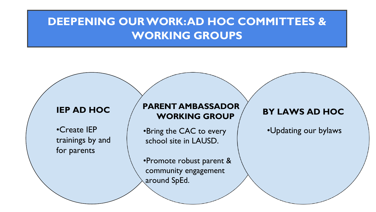## **DEEPENING OURWORK:AD HOC COMMITTEES & WORKING GROUPS**

#### **IEP AD HOC**

•Create IEP trainings by and for parents

#### **PARENT AMBASSADOR WORKING GROUP**

•Bring the CAC to every school site in LAUSD.

•Promote robust parent & community engagement around SpEd.

#### **BY LAWS AD HOC**

•Updating our bylaws